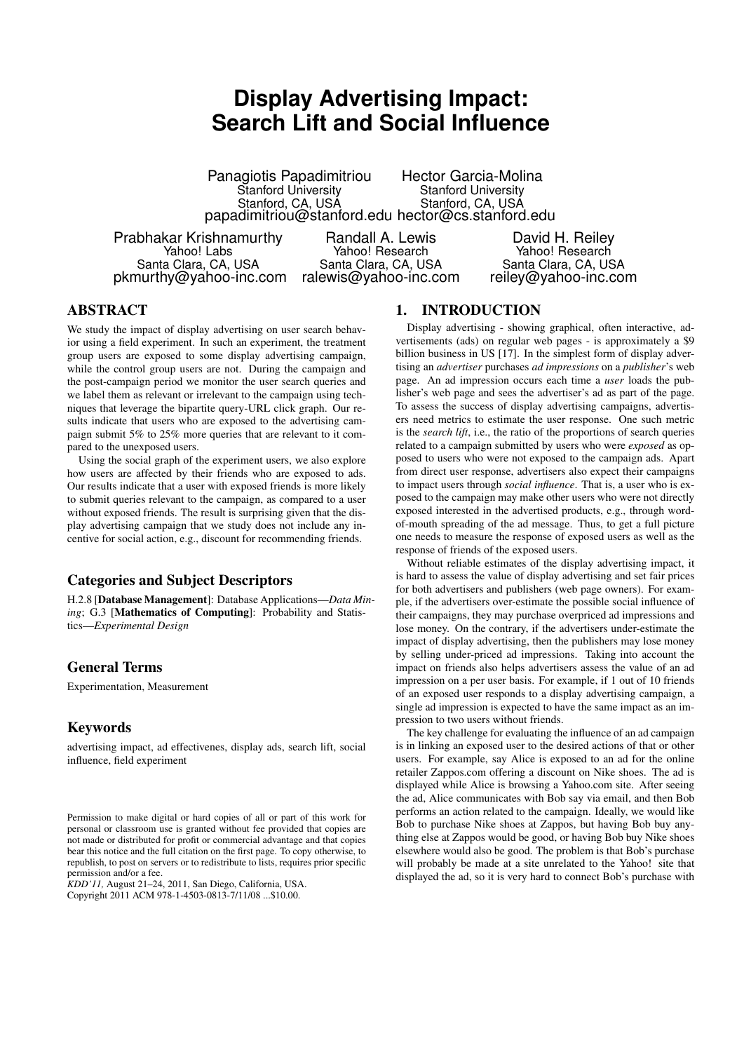# **Display Advertising Impact: Search Lift and Social Influence**

Panagiotis Papadimitriou Stanford University Stanford, CA, USA papadimitriou@stanford.edu hector@cs.stanford.edu Hector Garcia-Molina Stanford University Stanford, CA, USA

Prabhakar Krishnamurthy Yahoo! Labs Santa Clara, CA, USA pkmurthy@yahoo-inc.com

Randall A. Lewis Yahoo! Research Santa Clara, CA, USA ralewis@yahoo-inc.com

David H. Reiley Yahoo! Research Santa Clara, CA, USA reiley@yahoo-inc.com

# ABSTRACT

We study the impact of display advertising on user search behavior using a field experiment. In such an experiment, the treatment group users are exposed to some display advertising campaign, while the control group users are not. During the campaign and the post-campaign period we monitor the user search queries and we label them as relevant or irrelevant to the campaign using techniques that leverage the bipartite query-URL click graph. Our results indicate that users who are exposed to the advertising campaign submit 5% to 25% more queries that are relevant to it compared to the unexposed users.

Using the social graph of the experiment users, we also explore how users are affected by their friends who are exposed to ads. Our results indicate that a user with exposed friends is more likely to submit queries relevant to the campaign, as compared to a user without exposed friends. The result is surprising given that the display advertising campaign that we study does not include any incentive for social action, e.g., discount for recommending friends.

# Categories and Subject Descriptors

H.2.8 [Database Management]: Database Applications—*Data Min*ing; G.3 [Mathematics of Computing]: Probability and Statistics—*Experimental Design*

# General Terms

Experimentation, Measurement

# Keywords

advertising impact, ad effectivenes, display ads, search lift, social influence, field experiment

*KDD'11,* August 21–24, 2011, San Diego, California, USA. Copyright 2011 ACM 978-1-4503-0813-7/11/08 ...\$10.00.

## 1. INTRODUCTION

Display advertising - showing graphical, often interactive, advertisements (ads) on regular web pages - is approximately a \$9 billion business in US [17]. In the simplest form of display advertising an *advertiser* purchases *ad impressions* on a *publisher*'s web page. An ad impression occurs each time a *user* loads the publisher's web page and sees the advertiser's ad as part of the page. To assess the success of display advertising campaigns, advertisers need metrics to estimate the user response. One such metric is the *search lift*, i.e., the ratio of the proportions of search queries related to a campaign submitted by users who were *exposed* as opposed to users who were not exposed to the campaign ads. Apart from direct user response, advertisers also expect their campaigns to impact users through *social influence*. That is, a user who is exposed to the campaign may make other users who were not directly exposed interested in the advertised products, e.g., through wordof-mouth spreading of the ad message. Thus, to get a full picture one needs to measure the response of exposed users as well as the response of friends of the exposed users.

Without reliable estimates of the display advertising impact, it is hard to assess the value of display advertising and set fair prices for both advertisers and publishers (web page owners). For example, if the advertisers over-estimate the possible social influence of their campaigns, they may purchase overpriced ad impressions and lose money. On the contrary, if the advertisers under-estimate the impact of display advertising, then the publishers may lose money by selling under-priced ad impressions. Taking into account the impact on friends also helps advertisers assess the value of an ad impression on a per user basis. For example, if 1 out of 10 friends of an exposed user responds to a display advertising campaign, a single ad impression is expected to have the same impact as an impression to two users without friends.

The key challenge for evaluating the influence of an ad campaign is in linking an exposed user to the desired actions of that or other users. For example, say Alice is exposed to an ad for the online retailer Zappos.com offering a discount on Nike shoes. The ad is displayed while Alice is browsing a Yahoo.com site. After seeing the ad, Alice communicates with Bob say via email, and then Bob performs an action related to the campaign. Ideally, we would like Bob to purchase Nike shoes at Zappos, but having Bob buy anything else at Zappos would be good, or having Bob buy Nike shoes elsewhere would also be good. The problem is that Bob's purchase will probably be made at a site unrelated to the Yahoo! site that displayed the ad, so it is very hard to connect Bob's purchase with

Permission to make digital or hard copies of all or part of this work for personal or classroom use is granted without fee provided that copies are not made or distributed for profit or commercial advantage and that copies bear this notice and the full citation on the first page. To copy otherwise, to republish, to post on servers or to redistribute to lists, requires prior specific permission and/or a fee.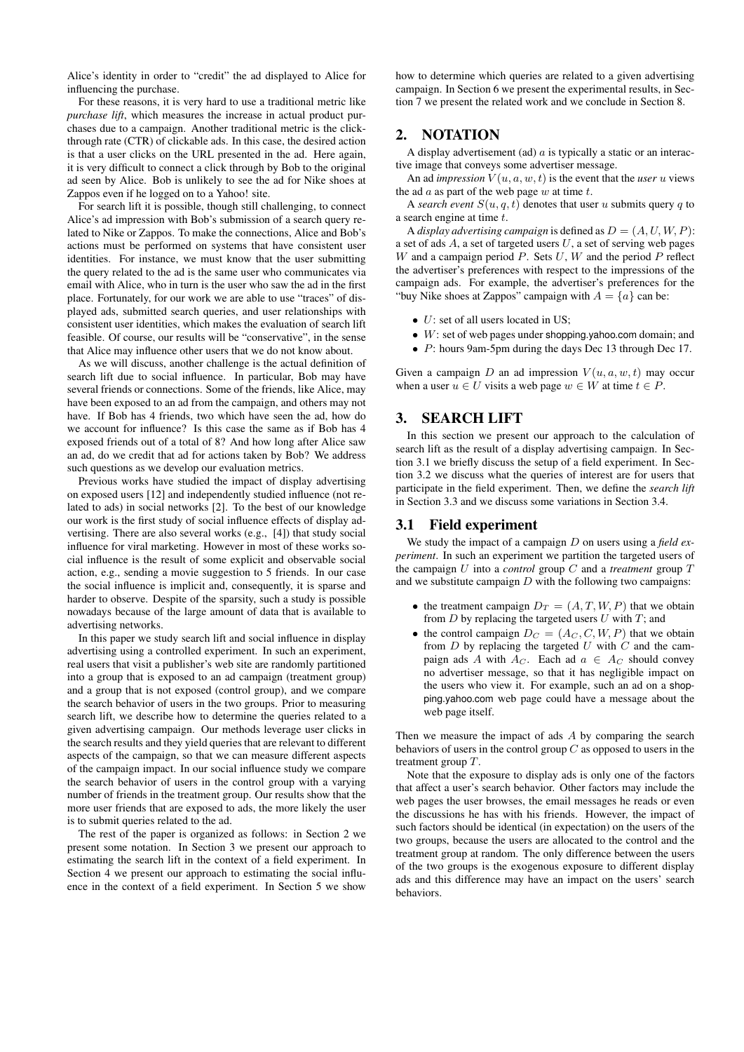Alice's identity in order to "credit" the ad displayed to Alice for influencing the purchase.

For these reasons, it is very hard to use a traditional metric like *purchase lift*, which measures the increase in actual product purchases due to a campaign. Another traditional metric is the clickthrough rate (CTR) of clickable ads. In this case, the desired action is that a user clicks on the URL presented in the ad. Here again, it is very difficult to connect a click through by Bob to the original ad seen by Alice. Bob is unlikely to see the ad for Nike shoes at Zappos even if he logged on to a Yahoo! site.

For search lift it is possible, though still challenging, to connect Alice's ad impression with Bob's submission of a search query related to Nike or Zappos. To make the connections, Alice and Bob's actions must be performed on systems that have consistent user identities. For instance, we must know that the user submitting the query related to the ad is the same user who communicates via email with Alice, who in turn is the user who saw the ad in the first place. Fortunately, for our work we are able to use "traces" of displayed ads, submitted search queries, and user relationships with consistent user identities, which makes the evaluation of search lift feasible. Of course, our results will be "conservative", in the sense that Alice may influence other users that we do not know about.

As we will discuss, another challenge is the actual definition of search lift due to social influence. In particular, Bob may have several friends or connections. Some of the friends, like Alice, may have been exposed to an ad from the campaign, and others may not have. If Bob has 4 friends, two which have seen the ad, how do we account for influence? Is this case the same as if Bob has 4 exposed friends out of a total of 8? And how long after Alice saw an ad, do we credit that ad for actions taken by Bob? We address such questions as we develop our evaluation metrics.

Previous works have studied the impact of display advertising on exposed users [12] and independently studied influence (not related to ads) in social networks [2]. To the best of our knowledge our work is the first study of social influence effects of display advertising. There are also several works (e.g., [4]) that study social influence for viral marketing. However in most of these works social influence is the result of some explicit and observable social action, e.g., sending a movie suggestion to 5 friends. In our case the social influence is implicit and, consequently, it is sparse and harder to observe. Despite of the sparsity, such a study is possible nowadays because of the large amount of data that is available to advertising networks.

In this paper we study search lift and social influence in display advertising using a controlled experiment. In such an experiment, real users that visit a publisher's web site are randomly partitioned into a group that is exposed to an ad campaign (treatment group) and a group that is not exposed (control group), and we compare the search behavior of users in the two groups. Prior to measuring search lift, we describe how to determine the queries related to a given advertising campaign. Our methods leverage user clicks in the search results and they yield queries that are relevant to different aspects of the campaign, so that we can measure different aspects of the campaign impact. In our social influence study we compare the search behavior of users in the control group with a varying number of friends in the treatment group. Our results show that the more user friends that are exposed to ads, the more likely the user is to submit queries related to the ad.

The rest of the paper is organized as follows: in Section 2 we present some notation. In Section 3 we present our approach to estimating the search lift in the context of a field experiment. In Section 4 we present our approach to estimating the social influence in the context of a field experiment. In Section 5 we show

how to determine which queries are related to a given advertising campaign. In Section 6 we present the experimental results, in Section 7 we present the related work and we conclude in Section 8.

# 2. NOTATION

A display advertisement (ad) *a* is typically a static or an interactive image that conveys some advertiser message.

An ad *impression*  $V(u, a, w, t)$  is the event that the *user u* views the ad *a* as part of the web page *w* at time *t*.

A *search event*  $S(u, q, t)$  denotes that user *u* submits query *q* to a search engine at time *t*.

A *display advertising campaign* is defined as  $D = (A, U, W, P)$ : a set of ads *A*, a set of targeted users *U*, a set of serving web pages *W* and a campaign period *P*. Sets *U*, *W* and the period *P* reflect the advertiser's preferences with respect to the impressions of the campaign ads. For example, the advertiser's preferences for the "buy Nike shoes at Zappos" campaign with  $A = \{a\}$  can be:

- *• U*: set of all users located in US;
- *• W*: set of web pages under shopping.yahoo.com domain; and
- *• P*: hours 9am-5pm during the days Dec 13 through Dec 17.

Given a campaign *D* an ad impression  $V(u, a, w, t)$  may occur when a user  $u \in U$  visits a web page  $w \in W$  at time  $t \in P$ .

# 3. SEARCH LIFT

In this section we present our approach to the calculation of search lift as the result of a display advertising campaign. In Section 3.1 we briefly discuss the setup of a field experiment. In Section 3.2 we discuss what the queries of interest are for users that participate in the field experiment. Then, we define the *search lift* in Section 3.3 and we discuss some variations in Section 3.4.

## 3.1 Field experiment

We study the impact of a campaign *D* on users using a *field experiment*. In such an experiment we partition the targeted users of the campaign *U* into a *control* group *C* and a *treatment* group *T* and we substitute campaign *D* with the following two campaigns:

- the treatment campaign  $D_T = (A, T, W, P)$  that we obtain from *D* by replacing the targeted users *U* with *T*; and
- the control campaign  $D_C = (A_C, C, W, P)$  that we obtain from *D* by replacing the targeted *U* with *C* and the campaign ads *A* with  $A_C$ . Each ad  $a \in A_C$  should convey no advertiser message, so that it has negligible impact on the users who view it. For example, such an ad on a shopping.yahoo.com web page could have a message about the web page itself.

Then we measure the impact of ads *A* by comparing the search behaviors of users in the control group *C* as opposed to users in the treatment group *T*.

Note that the exposure to display ads is only one of the factors that affect a user's search behavior. Other factors may include the web pages the user browses, the email messages he reads or even the discussions he has with his friends. However, the impact of such factors should be identical (in expectation) on the users of the two groups, because the users are allocated to the control and the treatment group at random. The only difference between the users of the two groups is the exogenous exposure to different display ads and this difference may have an impact on the users' search behaviors.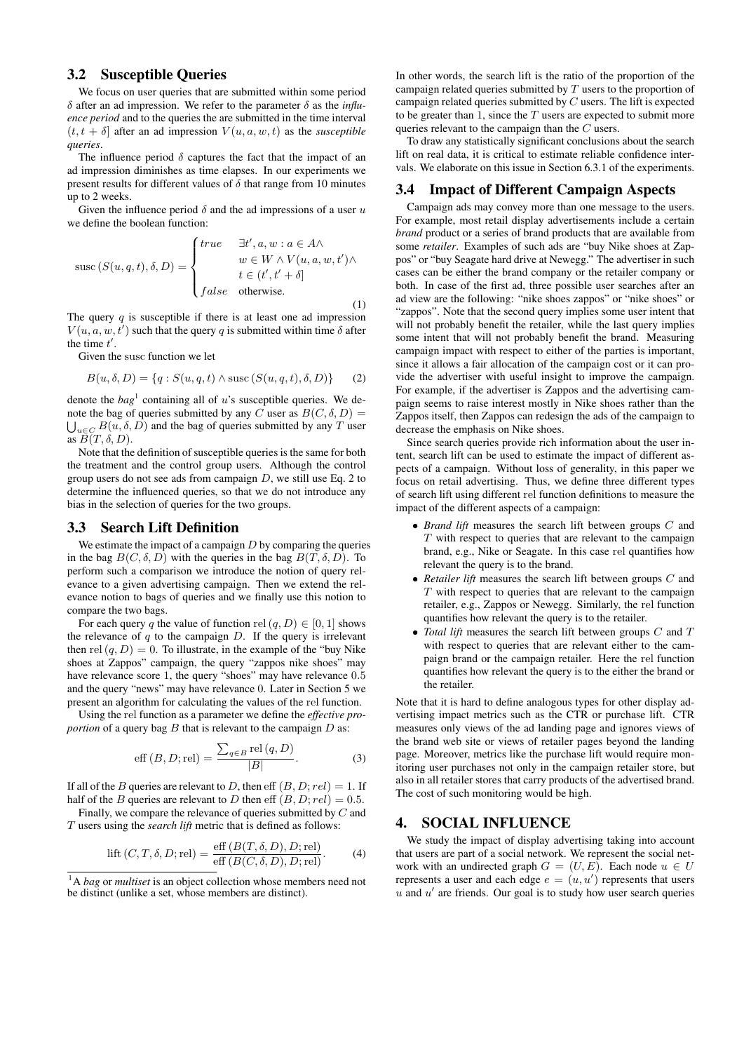# 3.2 Susceptible Queries

We focus on user queries that are submitted within some period  $\delta$  after an ad impression. We refer to the parameter  $\delta$  as the *influence period* and to the queries the are submitted in the time interval  $(t, t + \delta]$  after an ad impression  $V(u, a, w, t)$  as the *susceptible queries*.

The influence period  $\delta$  captures the fact that the impact of an ad impression diminishes as time elapses. In our experiments we present results for different values of  $\delta$  that range from 10 minutes up to 2 weeks.

Given the influence period  $\delta$  and the ad impressions of a user  $u$ we define the boolean function:

$$
susc(S(u,q,t),\delta,D) = \begin{cases} true & \exists t', a, w : a \in A \land \\ w \in W \land V(u,a,w,t') \land \\ t \in (t',t'+\delta] \\ false & \text{otherwise.} \end{cases}
$$
 (1)

The query  $q$  is susceptible if there is at least one ad impression  $V(u, a, w, t')$  such that the query q is submitted within time  $\delta$  after the time  $t'$ .

Given the susc function we let

$$
B(u, \delta, D) = \{q : S(u, q, t) \land \text{susc}(S(u, q, t), \delta, D)\}
$$
 (2)

denote the *bag*<sup>1</sup> containing all of *u*'s susceptible queries. We denote the bag of queries submitted by any C user as  $B(C, \delta, D) =$  $\bigcup_{u \in C} B(u, \delta, D)$  and the bag of queries submitted by any *T* user as  $\widetilde{B}(T, \delta, D)$ .

Note that the definition of susceptible queries is the same for both the treatment and the control group users. Although the control group users do not see ads from campaign *D*, we still use Eq. 2 to determine the influenced queries, so that we do not introduce any bias in the selection of queries for the two groups.

## 3.3 Search Lift Definition

We estimate the impact of a campaign *D* by comparing the queries in the bag  $B(C, \delta, D)$  with the queries in the bag  $B(T, \delta, D)$ . To perform such a comparison we introduce the notion of query relevance to a given advertising campaign. Then we extend the relevance notion to bags of queries and we finally use this notion to compare the two bags.

For each query *q* the value of function rel  $(q, D) \in [0, 1]$  shows the relevance of  $q$  to the campaign  $D$ . If the query is irrelevant then rel  $(q, D) = 0$ . To illustrate, in the example of the "buy Nike" shoes at Zappos" campaign, the query "zappos nike shoes" may have relevance score 1, the query "shoes" may have relevance 0*.*5 and the query "news" may have relevance 0. Later in Section 5 we present an algorithm for calculating the values of the rel function.

Using the rel function as a parameter we define the *effective proportion* of a query bag *B* that is relevant to the campaign *D* as:

eff 
$$
(B, D; rel)
$$
 = 
$$
\frac{\sum_{q \in B} rel(q, D)}{|B|}.
$$
 (3)

If all of the *B* queries are relevant to *D*, then eff  $(B, D; rel) = 1$ . If half of the *B* queries are relevant to *D* then eff  $(B, D; rel) = 0.5$ . Finally, we compare the relevance of queries submitted by *C* and

*T* users using the *search lift* metric that is defined as follows:

$$
\text{lift}(C, T, \delta, D; \text{rel}) = \frac{\text{eff}(B(T, \delta, D), D; \text{rel})}{\text{eff}(B(C, \delta, D), D; \text{rel})}.
$$
 (4)

In other words, the search lift is the ratio of the proportion of the campaign related queries submitted by *T* users to the proportion of campaign related queries submitted by *C* users. The lift is expected to be greater than 1, since the *T* users are expected to submit more queries relevant to the campaign than the *C* users.

To draw any statistically significant conclusions about the search lift on real data, it is critical to estimate reliable confidence intervals. We elaborate on this issue in Section 6.3.1 of the experiments.

## 3.4 Impact of Different Campaign Aspects

Campaign ads may convey more than one message to the users. For example, most retail display advertisements include a certain *brand* product or a series of brand products that are available from some *retailer*. Examples of such ads are "buy Nike shoes at Zappos" or "buy Seagate hard drive at Newegg." The advertiser in such cases can be either the brand company or the retailer company or both. In case of the first ad, three possible user searches after an ad view are the following: "nike shoes zappos" or "nike shoes" or "zappos". Note that the second query implies some user intent that will not probably benefit the retailer, while the last query implies some intent that will not probably benefit the brand. Measuring campaign impact with respect to either of the parties is important, since it allows a fair allocation of the campaign cost or it can provide the advertiser with useful insight to improve the campaign. For example, if the advertiser is Zappos and the advertising campaign seems to raise interest mostly in Nike shoes rather than the Zappos itself, then Zappos can redesign the ads of the campaign to decrease the emphasis on Nike shoes.

Since search queries provide rich information about the user intent, search lift can be used to estimate the impact of different aspects of a campaign. Without loss of generality, in this paper we focus on retail advertising. Thus, we define three different types of search lift using different rel function definitions to measure the impact of the different aspects of a campaign:

- *• Brand lift* measures the search lift between groups *C* and *T* with respect to queries that are relevant to the campaign brand, e.g., Nike or Seagate. In this case rel quantifies how relevant the query is to the brand.
- *• Retailer lift* measures the search lift between groups *C* and *T* with respect to queries that are relevant to the campaign retailer, e.g., Zappos or Newegg. Similarly, the rel function quantifies how relevant the query is to the retailer.
- *• Total lift* measures the search lift between groups *C* and *T* with respect to queries that are relevant either to the campaign brand or the campaign retailer. Here the rel function quantifies how relevant the query is to the either the brand or the retailer.

Note that it is hard to define analogous types for other display advertising impact metrics such as the CTR or purchase lift. CTR measures only views of the ad landing page and ignores views of the brand web site or views of retailer pages beyond the landing page. Moreover, metrics like the purchase lift would require monitoring user purchases not only in the campaign retailer store, but also in all retailer stores that carry products of the advertised brand. The cost of such monitoring would be high.

## 4. SOCIAL INFLUENCE

We study the impact of display advertising taking into account that users are part of a social network. We represent the social network with an undirected graph  $G = (U, E)$ . Each node  $u \in U$ represents a user and each edge  $e = (u, u')$  represents that users  $u$  and  $u'$  are friends. Our goal is to study how user search queries

<sup>&</sup>lt;sup>1</sup>A *bag* or *multiset* is an object collection whose members need not be distinct (unlike a set, whose members are distinct).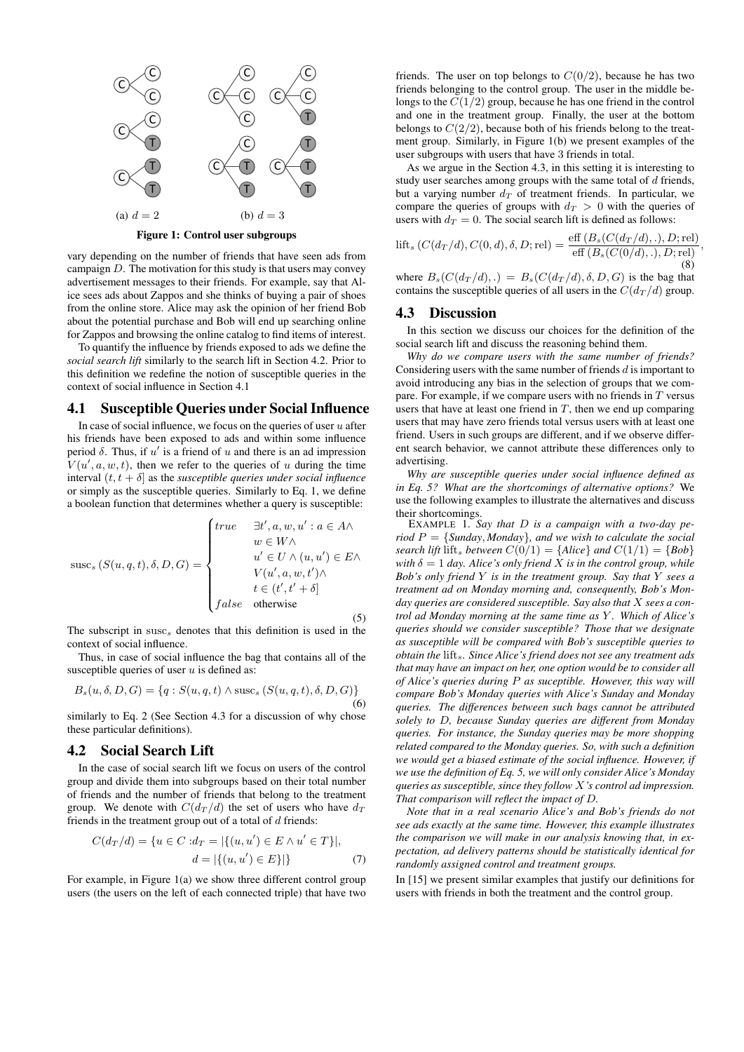

Figure 1: Control user subgroups

vary depending on the number of friends that have seen ads from campaign *D*. The motivation for this study is that users may convey advertisement messages to their friends. For example, say that Alice sees ads about Zappos and she thinks of buying a pair of shoes from the online store. Alice may ask the opinion of her friend Bob about the potential purchase and Bob will end up searching online for Zappos and browsing the online catalog to find items of interest.

To quantify the influence by friends exposed to ads we define the *social search lift* similarly to the search lift in Section 4.2. Prior to this definition we redefine the notion of susceptible queries in the context of social influence in Section 4.1

## 4.1 Susceptible Queries under Social Influence

In case of social influence, we focus on the queries of user *u* after his friends have been exposed to ads and within some influence period  $\delta$ . Thus, if  $u'$  is a friend of  $u$  and there is an ad impression  $V(u', a, w, t)$ , then we refer to the queries of *u* during the time interval  $(t, t + \delta]$  as the *susceptible queries under social influence* or simply as the susceptible queries. Similarly to Eq. 1, we define a boolean function that determines whether a query is susceptible:

$$
\text{Susc}_s(S(u, q, t), \delta, D, G) = \begin{cases} \text{true} & \exists t', a, w, u' : a \in A \land \\ & w \in W \land \\ & u' \in U \land (u, u') \in E \land \\ & V(u', a, w, t') \land \\ & t \in (t', t' + \delta] \\ \text{false} & \text{otherwise} \end{cases}
$$

The subscript in susc*<sup>s</sup>* denotes that this definition is used in the context of social influence.

Thus, in case of social influence the bag that contains all of the susceptible queries of user *u* is defined as:

$$
B_s(u, \delta, D, G) = \{q : S(u, q, t) \land \text{susc}_s (S(u, q, t), \delta, D, G)\}\
$$
\n(6)

similarly to Eq. 2 (See Section 4.3 for a discussion of why chose these particular definitions).

## 4.2 Social Search Lift

In the case of social search lift we focus on users of the control group and divide them into subgroups based on their total number of friends and the number of friends that belong to the treatment group. We denote with  $C(d_T/d)$  the set of users who have  $d_T$ friends in the treatment group out of a total of *d* friends:

$$
C(d_T/d) = \{ u \in C : d_T = |\{(u, u') \in E \land u' \in T\}|, d = |\{(u, u') \in E\}| \}
$$
 (7)

For example, in Figure 1(a) we show three different control group users (the users on the left of each connected triple) that have two

friends. The user on top belongs to  $C(0/2)$ , because he has two friends belonging to the control group. The user in the middle belongs to the *C*(1*/*2) group, because he has one friend in the control and one in the treatment group. Finally, the user at the bottom belongs to  $C(2/2)$ , because both of his friends belong to the treatment group. Similarly, in Figure 1(b) we present examples of the user subgroups with users that have 3 friends in total.

As we argue in the Section 4.3, in this setting it is interesting to study user searches among groups with the same total of *d* friends, but a varying number  $d_T$  of treatment friends. In particular, we compare the queries of groups with  $d_T > 0$  with the queries of users with  $d_T = 0$ . The social search lift is defined as follows:

$$
\text{lift}_s\left(C(d_T/d), C(0, d), \delta, D; \text{rel}\right) = \frac{\text{eff}\left(B_s(C(d_T/d), \cdot), D; \text{rel}\right)}{\text{eff}\left(B_s(C(0/d), \cdot), D; \text{rel}\right)},\tag{8}
$$

where  $B_s(C(d_T/d),.) = B_s(C(d_T/d), \delta, D, G)$  is the bag that contains the susceptible queries of all users in the  $C(d_T/d)$  group.

#### 4.3 Discussion

In this section we discuss our choices for the definition of the social search lift and discuss the reasoning behind them.

*Why do we compare users with the same number of friends?* Considering users with the same number of friends *d* is important to avoid introducing any bias in the selection of groups that we compare. For example, if we compare users with no friends in *T* versus users that have at least one friend in *T*, then we end up comparing users that may have zero friends total versus users with at least one friend. Users in such groups are different, and if we observe different search behavior, we cannot attribute these differences only to advertising.

*Why are susceptible queries under social influence defined as in Eq. 5? What are the shortcomings of alternative options?* We use the following examples to illustrate the alternatives and discuss their shortcomings.

EXAMPLE 1. *Say that D is a campaign with a two-day period P* = *{Sunday, Monday}, and we wish to calculate the social search lift* lift, *between*  $C(0/1) = \{Alice\}$  *and*  $C(1/1) = \{Bob\}$ *with*  $\delta = 1$  *day. Alice's only friend X is in the control group, while Bob's only friend Y is in the treatment group. Say that Y sees a treatment ad on Monday morning and, consequently, Bob's Monday queries are considered susceptible. Say also that X sees a control ad Monday morning at the same time as Y . Which of Alice's queries should we consider susceptible? Those that we designate as susceptible will be compared with Bob's susceptible queries to obtain the* lift*s. Since Alice's friend does not see any treatment ads that may have an impact on her, one option would be to consider all of Alice's queries during P as suceptible. However, this way will compare Bob's Monday queries with Alice's Sunday and Monday queries. The differences between such bags cannot be attributed solely to D, because Sunday queries are different from Monday queries. For instance, the Sunday queries may be more shopping related compared to the Monday queries. So, with such a definition we would get a biased estimate of the social influence. However, if we use the definition of Eq. 5, we will only consider Alice's Monday queries as susceptible, since they follow X's control ad impression. That comparison will reflect the impact of D.*

*Note that in a real scenario Alice's and Bob's friends do not see ads exactly at the same time. However, this example illustrates the comparison we will make in our analysis knowing that, in expectation, ad delivery patterns should be statistically identical for randomly assigned control and treatment groups.*

In [15] we present similar examples that justify our definitions for users with friends in both the treatment and the control group.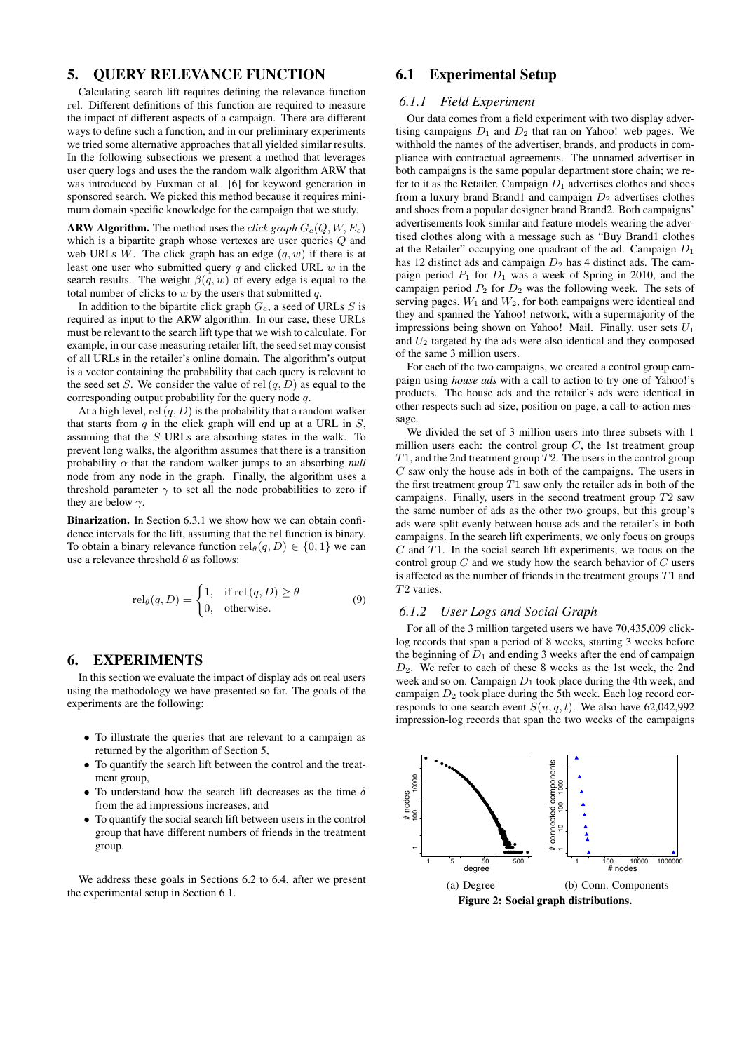# 5. QUERY RELEVANCE FUNCTION

Calculating search lift requires defining the relevance function rel. Different definitions of this function are required to measure the impact of different aspects of a campaign. There are different ways to define such a function, and in our preliminary experiments we tried some alternative approaches that all yielded similar results. In the following subsections we present a method that leverages user query logs and uses the the random walk algorithm ARW that was introduced by Fuxman et al. [6] for keyword generation in sponsored search. We picked this method because it requires minimum domain specific knowledge for the campaign that we study.

ARW Algorithm. The method uses the *click graph*  $G_c(Q, W, E_c)$ which is a bipartite graph whose vertexes are user queries *Q* and web URLs *W*. The click graph has an edge  $(q, w)$  if there is at least one user who submitted query *q* and clicked URL *w* in the search results. The weight  $\beta(q, w)$  of every edge is equal to the total number of clicks to *w* by the users that submitted *q*.

In addition to the bipartite click graph *Gc*, a seed of URLs *S* is required as input to the ARW algorithm. In our case, these URLs must be relevant to the search lift type that we wish to calculate. For example, in our case measuring retailer lift, the seed set may consist of all URLs in the retailer's online domain. The algorithm's output is a vector containing the probability that each query is relevant to the seed set *S*. We consider the value of rel  $(q, D)$  as equal to the corresponding output probability for the query node *q*.

At a high level, rel  $(q, D)$  is the probability that a random walker that starts from *q* in the click graph will end up at a URL in *S*, assuming that the *S* URLs are absorbing states in the walk. To prevent long walks, the algorithm assumes that there is a transition probability  $\alpha$  that the random walker jumps to an absorbing *null* node from any node in the graph. Finally, the algorithm uses a threshold parameter  $\gamma$  to set all the node probabilities to zero if they are below  $\gamma$ .

Binarization. In Section 6.3.1 we show how we can obtain confidence intervals for the lift, assuming that the rel function is binary. To obtain a binary relevance function  $rel_{\theta}(q, D) \in \{0, 1\}$  we can use a relevance threshold  $\theta$  as follows:

$$
rel_{\theta}(q, D) = \begin{cases} 1, & \text{if rel } (q, D) \ge \theta \\ 0, & \text{otherwise.} \end{cases}
$$
 (9)

## 6. EXPERIMENTS

In this section we evaluate the impact of display ads on real users using the methodology we have presented so far. The goals of the experiments are the following:

- *•* To illustrate the queries that are relevant to a campaign as returned by the algorithm of Section 5,
- *•* To quantify the search lift between the control and the treatment group,
- To understand how the search lift decreases as the time  $\delta$ from the ad impressions increases, and
- *•* To quantify the social search lift between users in the control group that have different numbers of friends in the treatment group.

We address these goals in Sections 6.2 to 6.4, after we present the experimental setup in Section 6.1.

# 6.1 Experimental Setup

## *6.1.1 Field Experiment*

Our data comes from a field experiment with two display advertising campaigns  $D_1$  and  $D_2$  that ran on Yahoo! web pages. We withhold the names of the advertiser, brands, and products in compliance with contractual agreements. The unnamed advertiser in both campaigns is the same popular department store chain; we refer to it as the Retailer. Campaign *D*<sup>1</sup> advertises clothes and shoes from a luxury brand Brand1 and campaign  $D_2$  advertises clothes and shoes from a popular designer brand Brand2. Both campaigns' advertisements look similar and feature models wearing the advertised clothes along with a message such as "Buy Brand1 clothes at the Retailer" occupying one quadrant of the ad. Campaign *D*<sup>1</sup> has 12 distinct ads and campaign  $D_2$  has 4 distinct ads. The campaign period *P*<sup>1</sup> for *D*<sup>1</sup> was a week of Spring in 2010, and the campaign period *P*<sup>2</sup> for *D*<sup>2</sup> was the following week. The sets of serving pages, *W*<sup>1</sup> and *W*2, for both campaigns were identical and they and spanned the Yahoo! network, with a supermajority of the impressions being shown on Yahoo! Mail. Finally, user sets *U*<sup>1</sup> and *U*<sup>2</sup> targeted by the ads were also identical and they composed of the same 3 million users.

For each of the two campaigns, we created a control group campaign using *house ads* with a call to action to try one of Yahoo!'s products. The house ads and the retailer's ads were identical in other respects such ad size, position on page, a call-to-action message.

We divided the set of 3 million users into three subsets with 1 million users each: the control group  $C$ , the 1st treatment group *T*1, and the 2nd treatment group *T*2. The users in the control group *C* saw only the house ads in both of the campaigns. The users in the first treatment group *T*1 saw only the retailer ads in both of the campaigns. Finally, users in the second treatment group *T*2 saw the same number of ads as the other two groups, but this group's ads were split evenly between house ads and the retailer's in both campaigns. In the search lift experiments, we only focus on groups *C* and *T*1. In the social search lift experiments, we focus on the control group *C* and we study how the search behavior of *C* users is affected as the number of friends in the treatment groups *T*1 and *T*2 varies.

#### *6.1.2 User Logs and Social Graph*

For all of the 3 million targeted users we have 70,435,009 clicklog records that span a period of 8 weeks, starting 3 weeks before the beginning of  $D_1$  and ending 3 weeks after the end of campaign *D*2. We refer to each of these 8 weeks as the 1st week, the 2nd week and so on. Campaign *D*<sup>1</sup> took place during the 4th week, and campaign  $D_2$  took place during the 5th week. Each log record corresponds to one search event  $S(u, q, t)$ . We also have 62,042,992 impression-log records that span the two weeks of the campaigns

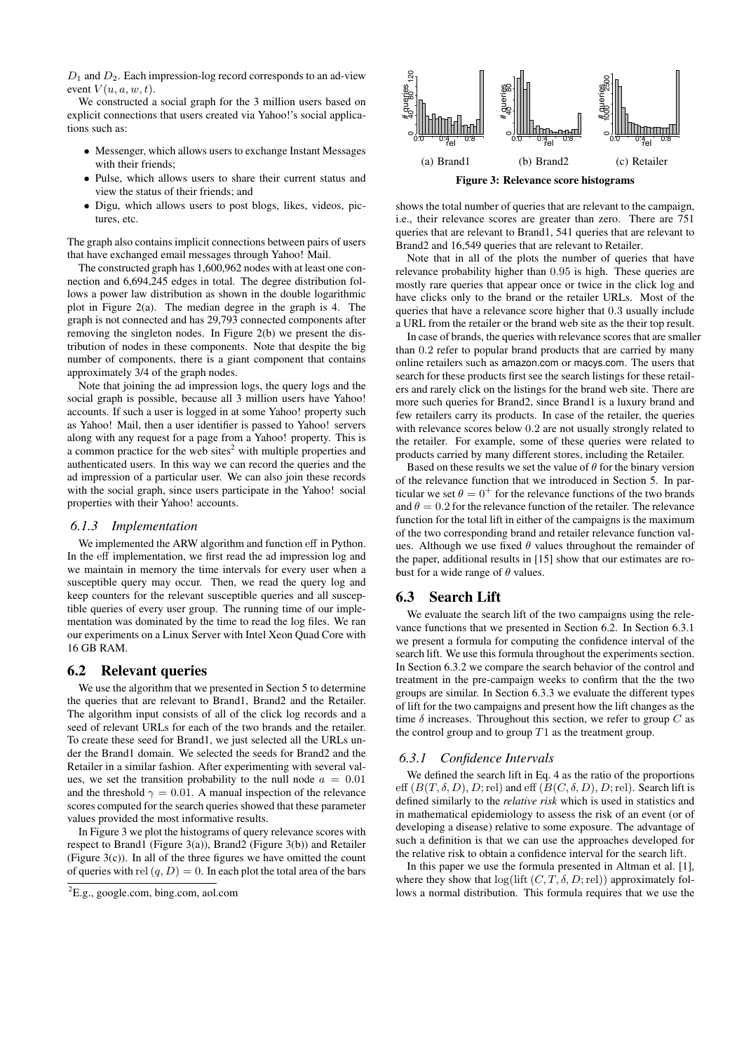$D_1$  and  $D_2$ . Each impression-log record corresponds to an ad-view event  $V(u, a, w, t)$ .

We constructed a social graph for the 3 million users based on explicit connections that users created via Yahoo!'s social applications such as:

- Messenger, which allows users to exchange Instant Messages with their friends;
- *•* Pulse, which allows users to share their current status and view the status of their friends; and
- *•* Digu, which allows users to post blogs, likes, videos, pictures, etc.

The graph also contains implicit connections between pairs of users that have exchanged email messages through Yahoo! Mail.

The constructed graph has 1,600,962 nodes with at least one connection and 6,694,245 edges in total. The degree distribution follows a power law distribution as shown in the double logarithmic plot in Figure 2(a). The median degree in the graph is 4. The graph is not connected and has 29,793 connected components after removing the singleton nodes. In Figure 2(b) we present the distribution of nodes in these components. Note that despite the big number of components, there is a giant component that contains approximately 3/4 of the graph nodes.

Note that joining the ad impression logs, the query logs and the social graph is possible, because all 3 million users have Yahoo! accounts. If such a user is logged in at some Yahoo! property such as Yahoo! Mail, then a user identifier is passed to Yahoo! servers along with any request for a page from a Yahoo! property. This is a common practice for the web sites<sup>2</sup> with multiple properties and authenticated users. In this way we can record the queries and the ad impression of a particular user. We can also join these records with the social graph, since users participate in the Yahoo! social properties with their Yahoo! accounts.

#### *6.1.3 Implementation*

We implemented the ARW algorithm and function eff in Python. In the eff implementation, we first read the ad impression log and we maintain in memory the time intervals for every user when a susceptible query may occur. Then, we read the query log and keep counters for the relevant susceptible queries and all susceptible queries of every user group. The running time of our implementation was dominated by the time to read the log files. We ran our experiments on a Linux Server with Intel Xeon Quad Core with 16 GB RAM.

## 6.2 Relevant queries

We use the algorithm that we presented in Section 5 to determine the queries that are relevant to Brand1, Brand2 and the Retailer. The algorithm input consists of all of the click log records and a seed of relevant URLs for each of the two brands and the retailer. To create these seed for Brand1, we just selected all the URLs under the Brand1 domain. We selected the seeds for Brand2 and the Retailer in a similar fashion. After experimenting with several values, we set the transition probability to the null node  $a = 0.01$ and the threshold  $\gamma = 0.01$ . A manual inspection of the relevance scores computed for the search queries showed that these parameter values provided the most informative results.

In Figure 3 we plot the histograms of query relevance scores with respect to Brand1 (Figure 3(a)), Brand2 (Figure 3(b)) and Retailer (Figure 3(c)). In all of the three figures we have omitted the count of queries with rel  $(q, D) = 0$ . In each plot the total area of the bars



Figure 3: Relevance score histograms

shows the total number of queries that are relevant to the campaign, i.e., their relevance scores are greater than zero. There are 751 queries that are relevant to Brand1, 541 queries that are relevant to Brand2 and 16,549 queries that are relevant to Retailer.

Note that in all of the plots the number of queries that have relevance probability higher than 0*.*95 is high. These queries are mostly rare queries that appear once or twice in the click log and have clicks only to the brand or the retailer URLs. Most of the queries that have a relevance score higher that 0*.*3 usually include a URL from the retailer or the brand web site as the their top result.

In case of brands, the queries with relevance scores that are smaller than 0*.*2 refer to popular brand products that are carried by many online retailers such as amazon.com or macys.com. The users that search for these products first see the search listings for these retailers and rarely click on the listings for the brand web site. There are more such queries for Brand2, since Brand1 is a luxury brand and few retailers carry its products. In case of the retailer, the queries with relevance scores below 0*.*2 are not usually strongly related to the retailer. For example, some of these queries were related to products carried by many different stores, including the Retailer.

Based on these results we set the value of  $\theta$  for the binary version of the relevance function that we introduced in Section 5. In particular we set  $\theta = 0^+$  for the relevance functions of the two brands and  $\theta = 0.2$  for the relevance function of the retailer. The relevance function for the total lift in either of the campaigns is the maximum of the two corresponding brand and retailer relevance function values. Although we use fixed  $\theta$  values throughout the remainder of the paper, additional results in [15] show that our estimates are robust for a wide range of  $\theta$  values.

# 6.3 Search Lift

We evaluate the search lift of the two campaigns using the relevance functions that we presented in Section 6.2. In Section 6.3.1 we present a formula for computing the confidence interval of the search lift. We use this formula throughout the experiments section. In Section 6.3.2 we compare the search behavior of the control and treatment in the pre-campaign weeks to confirm that the the two groups are similar. In Section 6.3.3 we evaluate the different types of lift for the two campaigns and present how the lift changes as the time  $\delta$  increases. Throughout this section, we refer to group  $C$  as the control group and to group *T*1 as the treatment group.

## *6.3.1 Confidence Intervals*

We defined the search lift in Eq. 4 as the ratio of the proportions eff  $(B(T, \delta, D), D;$  rel) and eff  $(B(C, \delta, D), D;$  rel). Search lift is defined similarly to the *relative risk* which is used in statistics and in mathematical epidemiology to assess the risk of an event (or of developing a disease) relative to some exposure. The advantage of such a definition is that we can use the approaches developed for the relative risk to obtain a confidence interval for the search lift.

In this paper we use the formula presented in Altman et al. [1], where they show that  $log(lift (C, T, \delta, D; rel))$  approximately follows a normal distribution. This formula requires that we use the

 ${}^{2}E.g.,$  google.com, bing.com, aol.com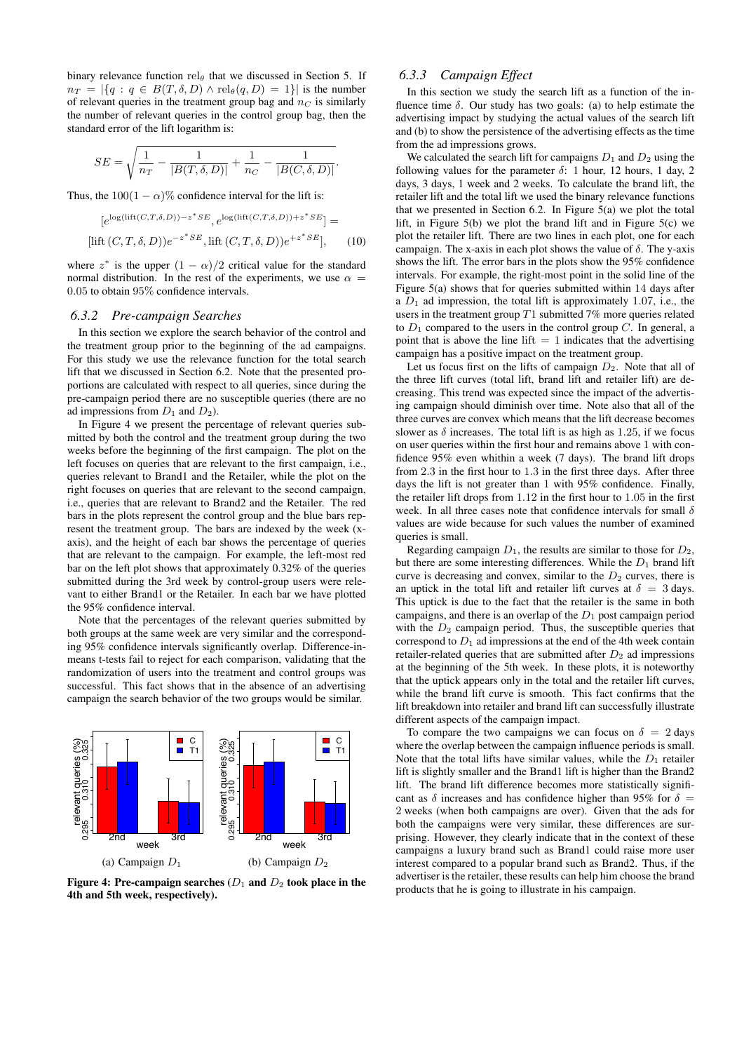binary relevance function rel $_{\theta}$  that we discussed in Section 5. If  $n_T = |\{q : q \in B(T, \delta, D) \land rel_{\theta}(q, D) = 1\}|$  is the number of relevant queries in the treatment group bag and  $n<sub>C</sub>$  is similarly the number of relevant queries in the control group bag, then the standard error of the lift logarithm is:

$$
SE = \sqrt{\frac{1}{n_T} - \frac{1}{|B(T, \delta, D)|} + \frac{1}{n_C} - \frac{1}{|B(C, \delta, D)|}}.
$$

Thus, the  $100(1 - \alpha)\%$  confidence interval for the lift is:

$$
[e^{\log(\text{lift}(C,T,\delta,D)) - z^*SE}, e^{\log(\text{lift}(C,T,\delta,D)) + z^*SE}] =
$$
  
[lift (C, T, \delta, D))  $e^{-z^*SE}$ , lift (C, T, \delta, D))  $e^{+z^*SE}$ ], (10)

where  $z^*$  is the upper  $(1 - \alpha)/2$  critical value for the standard normal distribution. In the rest of the experiments, we use  $\alpha =$ 0*.*05 to obtain 95% confidence intervals.

#### *6.3.2 Pre-campaign Searches*

In this section we explore the search behavior of the control and the treatment group prior to the beginning of the ad campaigns. For this study we use the relevance function for the total search lift that we discussed in Section 6.2. Note that the presented proportions are calculated with respect to all queries, since during the pre-campaign period there are no susceptible queries (there are no ad impressions from  $D_1$  and  $D_2$ ).

In Figure 4 we present the percentage of relevant queries submitted by both the control and the treatment group during the two weeks before the beginning of the first campaign. The plot on the left focuses on queries that are relevant to the first campaign, i.e., queries relevant to Brand1 and the Retailer, while the plot on the right focuses on queries that are relevant to the second campaign, i.e., queries that are relevant to Brand2 and the Retailer. The red bars in the plots represent the control group and the blue bars represent the treatment group. The bars are indexed by the week (xaxis), and the height of each bar shows the percentage of queries that are relevant to the campaign. For example, the left-most red bar on the left plot shows that approximately 0.32% of the queries submitted during the 3rd week by control-group users were relevant to either Brand1 or the Retailer. In each bar we have plotted the 95% confidence interval.

Note that the percentages of the relevant queries submitted by both groups at the same week are very similar and the corresponding 95% confidence intervals significantly overlap. Difference-inmeans t-tests fail to reject for each comparison, validating that the randomization of users into the treatment and control groups was successful. This fact shows that in the absence of an advertising campaign the search behavior of the two groups would be similar.



Figure 4: Pre-campaign searches (*D*<sup>1</sup> and *D*<sup>2</sup> took place in the 4th and 5th week, respectively).

#### *6.3.3 Campaign Effect*

In this section we study the search lift as a function of the influence time  $\delta$ . Our study has two goals: (a) to help estimate the advertising impact by studying the actual values of the search lift and (b) to show the persistence of the advertising effects as the time from the ad impressions grows.

We calculated the search lift for campaigns  $D_1$  and  $D_2$  using the following values for the parameter  $\delta$ : 1 hour, 12 hours, 1 day, 2 days, 3 days, 1 week and 2 weeks. To calculate the brand lift, the retailer lift and the total lift we used the binary relevance functions that we presented in Section 6.2. In Figure  $5(a)$  we plot the total lift, in Figure 5(b) we plot the brand lift and in Figure 5(c) we plot the retailer lift. There are two lines in each plot, one for each campaign. The x-axis in each plot shows the value of  $\delta$ . The y-axis shows the lift. The error bars in the plots show the 95% confidence intervals. For example, the right-most point in the solid line of the Figure 5(a) shows that for queries submitted within 14 days after a  $D_1$  ad impression, the total lift is approximately 1.07, i.e., the users in the treatment group *T*1 submitted 7% more queries related to  $D_1$  compared to the users in the control group  $C$ . In general, a point that is above the line lift  $= 1$  indicates that the advertising campaign has a positive impact on the treatment group.

Let us focus first on the lifts of campaign *D*2. Note that all of the three lift curves (total lift, brand lift and retailer lift) are decreasing. This trend was expected since the impact of the advertising campaign should diminish over time. Note also that all of the three curves are convex which means that the lift decrease becomes slower as  $\delta$  increases. The total lift is as high as 1.25, if we focus on user queries within the first hour and remains above 1 with confidence 95% even whithin a week (7 days). The brand lift drops from 2*.*3 in the first hour to 1*.*3 in the first three days. After three days the lift is not greater than 1 with 95% confidence. Finally, the retailer lift drops from 1*.*12 in the first hour to 1*.*05 in the first week. In all three cases note that confidence intervals for small  $\delta$ values are wide because for such values the number of examined queries is small.

Regarding campaign  $D_1$ , the results are similar to those for  $D_2$ , but there are some interesting differences. While the  $D_1$  brand lift curve is decreasing and convex, similar to the  $D_2$  curves, there is an uptick in the total lift and retailer lift curves at  $\delta = 3$  days. This uptick is due to the fact that the retailer is the same in both campaigns, and there is an overlap of the  $D_1$  post campaign period with the  $D_2$  campaign period. Thus, the susceptible queries that correspond to  $D_1$  ad impressions at the end of the 4th week contain retailer-related queries that are submitted after  $D_2$  ad impressions at the beginning of the 5th week. In these plots, it is noteworthy that the uptick appears only in the total and the retailer lift curves, while the brand lift curve is smooth. This fact confirms that the lift breakdown into retailer and brand lift can successfully illustrate different aspects of the campaign impact.

To compare the two campaigns we can focus on  $\delta = 2$  days where the overlap between the campaign influence periods is small. Note that the total lifts have similar values, while the  $D_1$  retailer lift is slightly smaller and the Brand1 lift is higher than the Brand2 lift. The brand lift difference becomes more statistically significant as  $\delta$  increases and has confidence higher than 95% for  $\delta =$ 2 weeks (when both campaigns are over). Given that the ads for both the campaigns were very similar, these differences are surprising. However, they clearly indicate that in the context of these campaigns a luxury brand such as Brand1 could raise more user interest compared to a popular brand such as Brand2. Thus, if the advertiser is the retailer, these results can help him choose the brand products that he is going to illustrate in his campaign.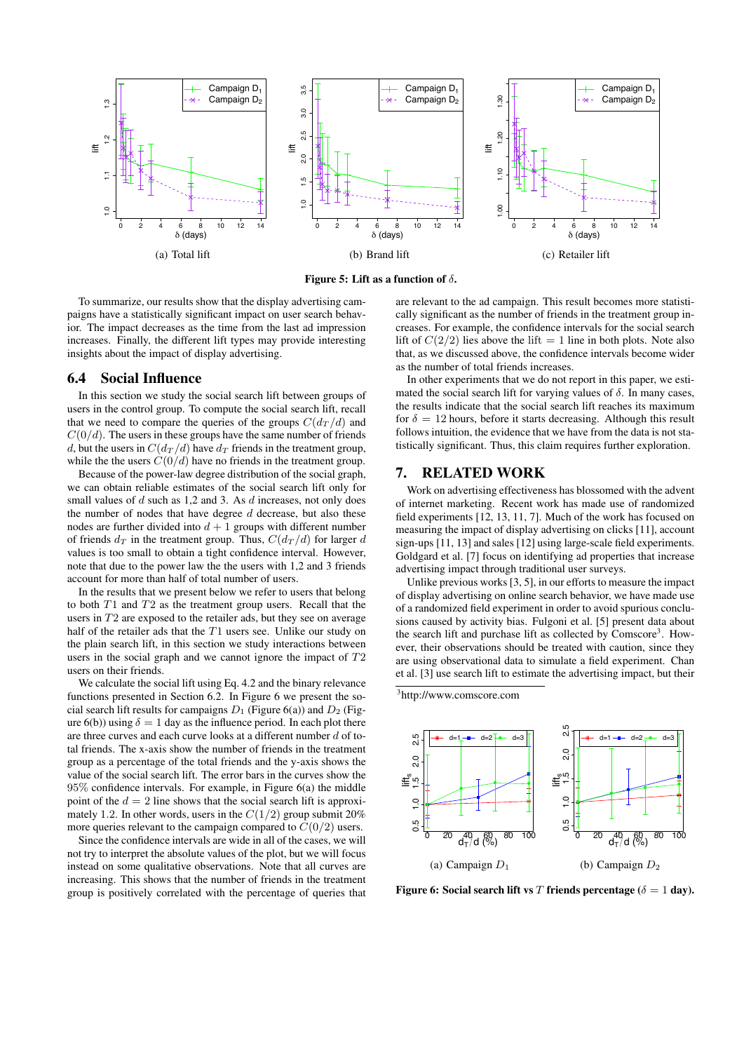

Figure 5: Lift as a function of  $\delta$ .

To summarize, our results show that the display advertising campaigns have a statistically significant impact on user search behavior. The impact decreases as the time from the last ad impression increases. Finally, the different lift types may provide interesting insights about the impact of display advertising.

## 6.4 Social Influence

In this section we study the social search lift between groups of users in the control group. To compute the social search lift, recall that we need to compare the queries of the groups  $C(d_T/d)$  and  $C(0/d)$ . The users in these groups have the same number of friends *d*, but the users in  $C(d_T/d)$  have  $d_T$  friends in the treatment group, while the the users  $C(0/d)$  have no friends in the treatment group.

Because of the power-law degree distribution of the social graph, we can obtain reliable estimates of the social search lift only for small values of *d* such as 1,2 and 3. As *d* increases, not only does the number of nodes that have degree *d* decrease, but also these nodes are further divided into  $d + 1$  groups with different number of friends  $d_T$  in the treatment group. Thus,  $C(d_T/d)$  for larger *d* values is too small to obtain a tight confidence interval. However, note that due to the power law the the users with 1,2 and 3 friends account for more than half of total number of users.

In the results that we present below we refer to users that belong to both *T*1 and *T*2 as the treatment group users. Recall that the users in *T*2 are exposed to the retailer ads, but they see on average half of the retailer ads that the *T*1 users see. Unlike our study on the plain search lift, in this section we study interactions between users in the social graph and we cannot ignore the impact of *T*2 users on their friends.

We calculate the social lift using Eq. 4.2 and the binary relevance functions presented in Section 6.2. In Figure 6 we present the social search lift results for campaigns *D*<sup>1</sup> (Figure 6(a)) and *D*<sup>2</sup> (Figure 6(b)) using  $\delta = 1$  day as the influence period. In each plot there are three curves and each curve looks at a different number *d* of total friends. The x-axis show the number of friends in the treatment group as a percentage of the total friends and the y-axis shows the value of the social search lift. The error bars in the curves show the 95% confidence intervals. For example, in Figure 6(a) the middle point of the  $d = 2$  line shows that the social search lift is approximately 1.2. In other words, users in the  $C(1/2)$  group submit 20% more queries relevant to the campaign compared to  $C(0/2)$  users.

Since the confidence intervals are wide in all of the cases, we will not try to interpret the absolute values of the plot, but we will focus instead on some qualitative observations. Note that all curves are increasing. This shows that the number of friends in the treatment group is positively correlated with the percentage of queries that are relevant to the ad campaign. This result becomes more statistically significant as the number of friends in the treatment group increases. For example, the confidence intervals for the social search lift of  $C(2/2)$  lies above the lift  $= 1$  line in both plots. Note also that, as we discussed above, the confidence intervals become wider as the number of total friends increases.

In other experiments that we do not report in this paper, we estimated the social search lift for varying values of  $\delta$ . In many cases, the results indicate that the social search lift reaches its maximum for  $\delta = 12$  hours, before it starts decreasing. Although this result follows intuition, the evidence that we have from the data is not statistically significant. Thus, this claim requires further exploration.

## 7. RELATED WORK

Work on advertising effectiveness has blossomed with the advent of internet marketing. Recent work has made use of randomized field experiments [12, 13, 11, 7]. Much of the work has focused on measuring the impact of display advertising on clicks [11], account sign-ups [11, 13] and sales [12] using large-scale field experiments. Goldgard et al. [7] focus on identifying ad properties that increase advertising impact through traditional user surveys.

Unlike previous works [3, 5], in our efforts to measure the impact of display advertising on online search behavior, we have made use of a randomized field experiment in order to avoid spurious conclusions caused by activity bias. Fulgoni et al. [5] present data about the search lift and purchase lift as collected by Comscore<sup>3</sup>. However, their observations should be treated with caution, since they are using observational data to simulate a field experiment. Chan et al. [3] use search lift to estimate the advertising impact, but their

3 http://www.comscore.com



Figure 6: Social search lift vs *T* friends percentage ( $\delta = 1$  day).